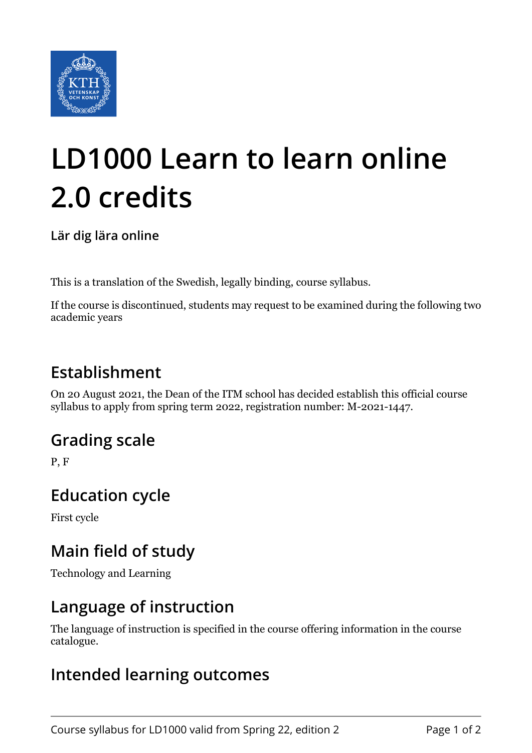

# **LD1000 Learn to learn online 2.0 credits**

**Lär dig lära online**

This is a translation of the Swedish, legally binding, course syllabus.

If the course is discontinued, students may request to be examined during the following two academic years

## **Establishment**

On 20 August 2021, the Dean of the ITM school has decided establish this official course syllabus to apply from spring term 2022, registration number: M-2021-1447.

## **Grading scale**

P, F

### **Education cycle**

First cycle

## **Main field of study**

Technology and Learning

### **Language of instruction**

The language of instruction is specified in the course offering information in the course catalogue.

### **Intended learning outcomes**